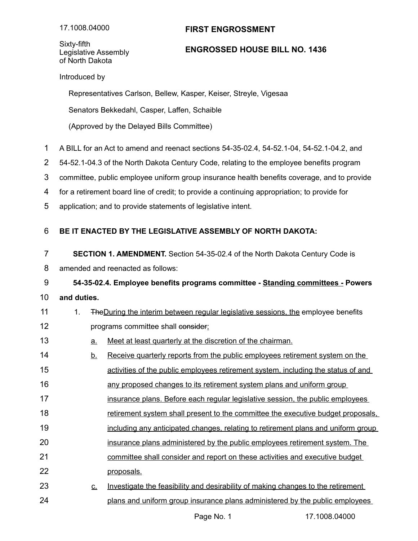## **FIRST ENGROSSMENT**

Sixty-fifth Legislative Assembly of North Dakota

## **ENGROSSED HOUSE BILL NO. 1436**

Introduced by

Representatives Carlson, Bellew, Kasper, Keiser, Streyle, Vigesaa

Senators Bekkedahl, Casper, Laffen, Schaible

(Approved by the Delayed Bills Committee)

- A BILL for an Act to amend and reenact sections 54-35-02.4, 54-52.1-04, 54-52.1-04.2, and 1
- 54-52.1-04.3 of the North Dakota Century Code, relating to the employee benefits program 2
- committee, public employee uniform group insurance health benefits coverage, and to provide 3
- for a retirement board line of credit; to provide a continuing appropriation; to provide for 4
- application; and to provide statements of legislative intent. 5

## **BE IT ENACTED BY THE LEGISLATIVE ASSEMBLY OF NORTH DAKOTA:** 6

- **SECTION 1. AMENDMENT.** Section 54-35-02.4 of the North Dakota Century Code is 7
- amended and reenacted as follows: 8

**54-35-02.4. Employee benefits programs committee - Standing committees - Powers** 9

- **and duties.** 10
- 1. TheDuring the interim between regular legislative sessions, the employee benefits programs committee shall consider: 11 12
- a. Meet at least quarterly at the discretion of the chairman. 13
- b. Receive quarterly reports from the public employees retirement system on the 14
- activities of the public employees retirement system, including the status of and 15
- any proposed changes to its retirement system plans and uniform group 16
- insurance plans. Before each regular legislative session, the public employees 17
- retirement system shall present to the committee the executive budget proposals, 18
- including any anticipated changes, relating to retirement plans and uniform group 19
- insurance plans administered by the public employees retirement system. The 20
- committee shall consider and report on these activities and executive budget 21
- proposals. 22
- c. Investigate the feasibility and desirability of making changes to the retirement plans and uniform group insurance plans administered by the public employees 23 24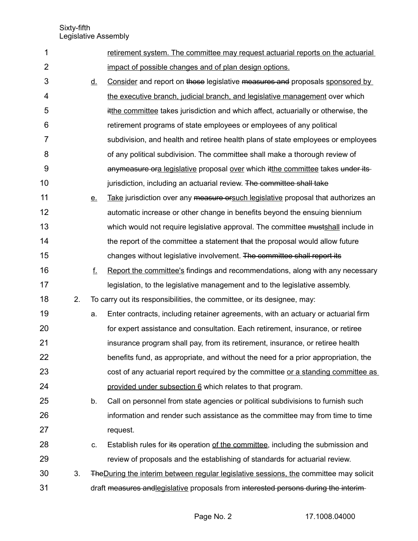| 1              |    |           | retirement system. The committee may request actuarial reports on the actuarial               |
|----------------|----|-----------|-----------------------------------------------------------------------------------------------|
| $\overline{2}$ |    |           | impact of possible changes and of plan design options.                                        |
| 3              |    | <u>d.</u> | Consider and report on those legislative measures and proposals sponsored by                  |
| 4              |    |           | the executive branch, judicial branch, and legislative management over which                  |
| 5              |    |           | itthe committee takes jurisdiction and which affect, actuarially or otherwise, the            |
| 6              |    |           | retirement programs of state employees or employees of any political                          |
| 7              |    |           | subdivision, and health and retiree health plans of state employees or employees              |
| 8              |    |           | of any political subdivision. The committee shall make a thorough review of                   |
| 9              |    |           | anymeasure ora legislative proposal over which it the committee takes under its-              |
| 10             |    |           | jurisdiction, including an actuarial review. The committee shall take                         |
| 11             |    | <u>e.</u> | Take jurisdiction over any measure or such legislative proposal that authorizes an            |
| 12             |    |           | automatic increase or other change in benefits beyond the ensuing biennium                    |
| 13             |    |           | which would not require legislative approval. The committee mustshall include in              |
| 14             |    |           | the report of the committee a statement that the proposal would allow future                  |
| 15             |    |           | changes without legislative involvement. The committee shall report its                       |
| 16             |    | f.        | Report the committee's findings and recommendations, along with any necessary                 |
| 17             |    |           | legislation, to the legislative management and to the legislative assembly.                   |
| 18             | 2. |           | To carry out its responsibilities, the committee, or its designee, may:                       |
| 19             |    | a.        | Enter contracts, including retainer agreements, with an actuary or actuarial firm             |
| 20             |    |           | for expert assistance and consultation. Each retirement, insurance, or retiree                |
| 21             |    |           | insurance program shall pay, from its retirement, insurance, or retiree health                |
| 22             |    |           | benefits fund, as appropriate, and without the need for a prior appropriation, the            |
| 23             |    |           | cost of any actuarial report required by the committee or a standing committee as             |
| 24             |    |           | provided under subsection 6 which relates to that program.                                    |
| 25             |    | b.        | Call on personnel from state agencies or political subdivisions to furnish such               |
| 26             |    |           | information and render such assistance as the committee may from time to time                 |
| 27             |    |           | request.                                                                                      |
| 28             |    | C.        | Establish rules for its operation of the committee, including the submission and              |
| 29             |    |           | review of proposals and the establishing of standards for actuarial review.                   |
| 30             | 3. |           | <b>The During the interim between regular legislative sessions, the committee may solicit</b> |
| 31             |    |           | draft measures and legislative proposals from interested persons during the interim-          |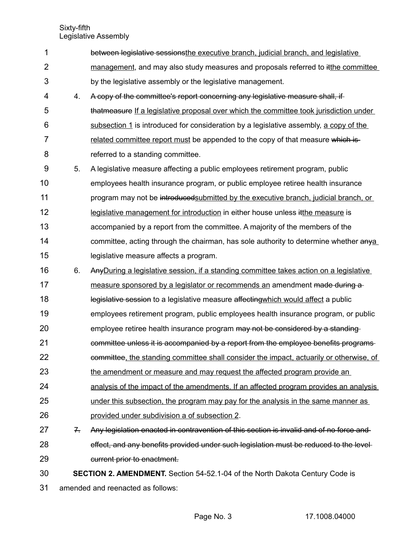| 1              |                                   | between legislative sessionsthe executive branch, judicial branch, and legislative      |
|----------------|-----------------------------------|-----------------------------------------------------------------------------------------|
| 2              |                                   | management, and may also study measures and proposals referred to itthe committee       |
| 3              |                                   | by the legislative assembly or the legislative management.                              |
| 4              | 4.                                | A copy of the committee's report concerning any legislative measure shall, if           |
| 5              |                                   | that measure If a legislative proposal over which the committee took jurisdiction under |
| 6              |                                   | subsection 1 is introduced for consideration by a legislative assembly, a copy of the   |
| $\overline{7}$ |                                   | related committee report must be appended to the copy of that measure which is-         |
| 8              |                                   | referred to a standing committee.                                                       |
| 9              | 5.                                | A legislative measure affecting a public employees retirement program, public           |
| 10             |                                   | employees health insurance program, or public employee retiree health insurance         |
| 11             |                                   | program may not be introduced submitted by the executive branch, judicial branch, or    |
| 12             |                                   | legislative management for introduction in either house unless it the measure is        |
| 13             |                                   | accompanied by a report from the committee. A majority of the members of the            |
| 14             |                                   | committee, acting through the chairman, has sole authority to determine whether anya    |
| 15             |                                   | legislative measure affects a program.                                                  |
| 16             | 6.                                | Any During a legislative session, if a standing committee takes action on a legislative |
| 17             |                                   | measure sponsored by a legislator or recommends an amendment made during a              |
| 18             |                                   | legislative session to a legislative measure affecting which would affect a public      |
| 19             |                                   | employees retirement program, public employees health insurance program, or public      |
| 20             |                                   | employee retiree health insurance program may not be considered by a standing-          |
| 21             |                                   | committee unless it is accompanied by a report from the employee benefits programs-     |
| 22             |                                   | committee, the standing committee shall consider the impact, actuarily or otherwise, of |
| 23             |                                   | the amendment or measure and may request the affected program provide an                |
| 24             |                                   | analysis of the impact of the amendments. If an affected program provides an analysis   |
| 25             |                                   | under this subsection, the program may pay for the analysis in the same manner as       |
| 26             |                                   | provided under subdivision a of subsection 2.                                           |
| 27             | 7.                                | Any legislation enacted in contravention of this section is invalid and of no force and |
| 28             |                                   | effect, and any benefits provided under such legislation must be reduced to the level-  |
| 29             |                                   | current prior to enactment.                                                             |
| 30             |                                   | <b>SECTION 2. AMENDMENT.</b> Section 54-52.1-04 of the North Dakota Century Code is     |
| 31             | amended and reenacted as follows: |                                                                                         |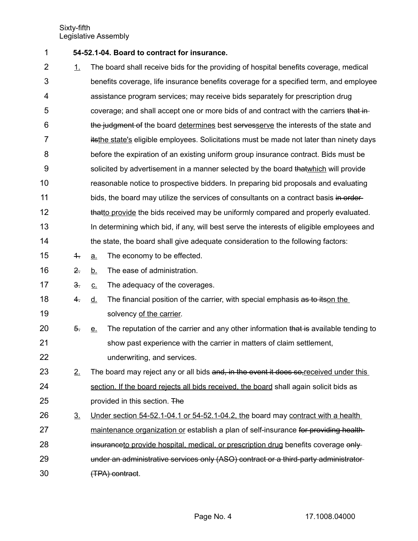- **54-52.1-04. Board to contract for insurance.** 1
- 1. The board shall receive bids for the providing of hospital benefits coverage, medical benefits coverage, life insurance benefits coverage for a specified term, and employee assistance program services; may receive bids separately for prescription drug coverage; and shall accept one or more bids of and contract with the carriers that inthe judgment of the board determines best servesserve the interests of the state and itsthe state's eligible employees. Solicitations must be made not later than ninety days before the expiration of an existing uniform group insurance contract. Bids must be solicited by advertisement in a manner selected by the board that which will provide reasonable notice to prospective bidders. In preparing bid proposals and evaluating bids, the board may utilize the services of consultants on a contract basis in orderthatto provide the bids received may be uniformly compared and properly evaluated. In determining which bid, if any, will best serve the interests of eligible employees and the state, the board shall give adequate consideration to the following factors:  $\frac{4}{1}$  a. The economy to be effected. 2. b. The ease of administration. 3. c. The adequacy of the coverages. 2 3 4 5 6 7 8 9 10 11 12 13 14 15 16 17
- 4. d. The financial position of the carrier, with special emphasis as to itson the solvency of the carrier. 18 19
- 5. e. The reputation of the carrier and any other information that is available tending to show past experience with the carrier in matters of claim settlement, underwriting, and services. 20 21 22
- $2.$  The board may reject any or all bids and, in the event it does so, received under this section. If the board rejects all bids received, the board shall again solicit bids as provided in this section. The 23 24 25
- $3.$  Under section 54-52.1-04.1 or 54-52.1-04.2, the board may contract with a health maintenance organization or establish a plan of self-insurance for providing healthinsuranceto provide hospital, medical, or prescription drug benefits coverage onlyunder an administrative services only (ASO) contract or a third-party administrator (TPA) contract. 26 27 28 29 30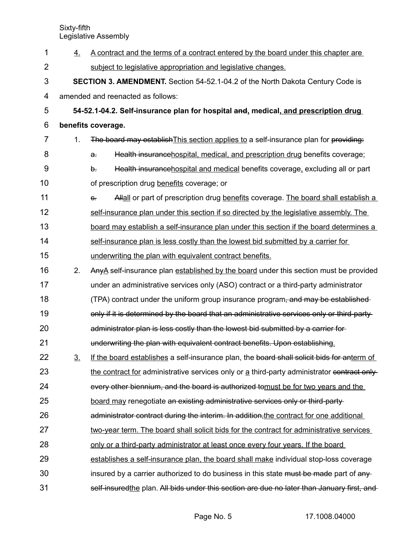| $\mathbf 1$ | 4.                                                                                    | A contract and the terms of a contract entered by the board under this chapter are          |  |  |  |
|-------------|---------------------------------------------------------------------------------------|---------------------------------------------------------------------------------------------|--|--|--|
| 2           |                                                                                       | subject to legislative appropriation and legislative changes.                               |  |  |  |
| 3           | <b>SECTION 3. AMENDMENT.</b> Section 54-52.1-04.2 of the North Dakota Century Code is |                                                                                             |  |  |  |
| 4           |                                                                                       | amended and reenacted as follows:                                                           |  |  |  |
| 5           |                                                                                       | 54-52.1-04.2. Self-insurance plan for hospital and, medical, and prescription drug          |  |  |  |
| 6           |                                                                                       | benefits coverage.                                                                          |  |  |  |
| 7           | 1.                                                                                    | The board may establish This section applies to a self-insurance plan for providing:        |  |  |  |
| 8           |                                                                                       | Health insurancehospital, medical, and prescription drug benefits coverage;<br>$\mathbf{a}$ |  |  |  |
| 9           |                                                                                       | Health insurancehospital and medical benefits coverage, excluding all or part<br>$\theta$ . |  |  |  |
| 10          |                                                                                       | of prescription drug benefits coverage; or                                                  |  |  |  |
| 11          |                                                                                       | Allall or part of prescription drug benefits coverage. The board shall establish a<br>$e$ . |  |  |  |
| 12          |                                                                                       | self-insurance plan under this section if so directed by the legislative assembly. The      |  |  |  |
| 13          |                                                                                       | board may establish a self-insurance plan under this section if the board determines a      |  |  |  |
| 14          |                                                                                       | self-insurance plan is less costly than the lowest bid submitted by a carrier for           |  |  |  |
| 15          |                                                                                       | underwriting the plan with equivalent contract benefits.                                    |  |  |  |
| 16          | 2.                                                                                    | AnyA self-insurance plan established by the board under this section must be provided       |  |  |  |
| 17          |                                                                                       | under an administrative services only (ASO) contract or a third-party administrator         |  |  |  |
| 18          |                                                                                       | (TPA) contract under the uniform group insurance program, and may be established-           |  |  |  |
| 19          |                                                                                       | only if it is determined by the board that an administrative services only or third-party-  |  |  |  |
| 20          |                                                                                       | administrator plan is less costly than the lowest bid submitted by a carrier for-           |  |  |  |
| 21          |                                                                                       | underwriting the plan with equivalent contract benefits. Upon establishing.                 |  |  |  |
| 22          | <u>3.</u>                                                                             | If the board establishes a self-insurance plan, the board shall solicit bids for anterm of  |  |  |  |
| 23          |                                                                                       | the contract for administrative services only or a third-party administrator contract only- |  |  |  |
| 24          |                                                                                       | every other biennium, and the board is authorized tomust be for two years and the           |  |  |  |
| 25          |                                                                                       | board may renegotiate an existing administrative services only or third-party-              |  |  |  |
| 26          |                                                                                       | administrator contract during the interim. In addition, the contract for one additional     |  |  |  |
| 27          |                                                                                       | two-year term. The board shall solicit bids for the contract for administrative services    |  |  |  |
| 28          |                                                                                       | only or a third-party administrator at least once every four years. If the board            |  |  |  |
| 29          |                                                                                       | establishes a self-insurance plan, the board shall make individual stop-loss coverage       |  |  |  |
| 30          |                                                                                       | insured by a carrier authorized to do business in this state must be made part of any-      |  |  |  |
| 31          |                                                                                       | self-insuredthe plan. All bids under this section are due no later than January first, and  |  |  |  |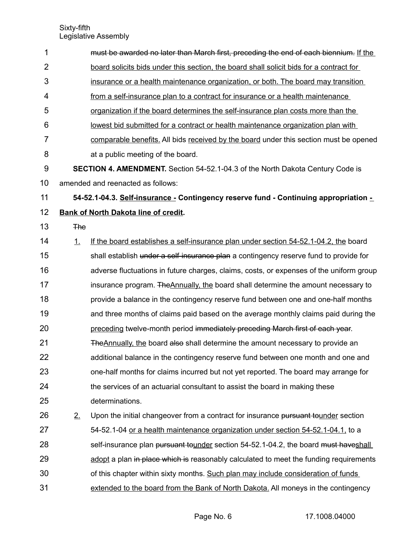| 1              |                                   | must be awarded no later than March first, preceding the end of each biennium. If the   |  |
|----------------|-----------------------------------|-----------------------------------------------------------------------------------------|--|
| $\overline{2}$ |                                   | board solicits bids under this section, the board shall solicit bids for a contract for |  |
| 3              |                                   | insurance or a health maintenance organization, or both. The board may transition       |  |
| 4              |                                   | from a self-insurance plan to a contract for insurance or a health maintenance          |  |
| 5              |                                   | organization if the board determines the self-insurance plan costs more than the        |  |
| 6              |                                   | lowest bid submitted for a contract or health maintenance organization plan with        |  |
| 7              |                                   | comparable benefits. All bids received by the board under this section must be opened   |  |
| 8              |                                   | at a public meeting of the board.                                                       |  |
| 9              |                                   | <b>SECTION 4. AMENDMENT.</b> Section 54-52.1-04.3 of the North Dakota Century Code is   |  |
| 10             | amended and reenacted as follows: |                                                                                         |  |
| 11             |                                   | 54-52.1-04.3. Self-insurance - Contingency reserve fund - Continuing appropriation -    |  |
| 12             |                                   | <b>Bank of North Dakota line of credit.</b>                                             |  |
| 13             | <b>The</b>                        |                                                                                         |  |
| 14             | 1.                                | If the board establishes a self-insurance plan under section 54-52.1-04.2, the board    |  |
| 15             |                                   | shall establish under a self-insurance plan a contingency reserve fund to provide for   |  |
| 16             |                                   | adverse fluctuations in future charges, claims, costs, or expenses of the uniform group |  |
| 17             |                                   | insurance program. The Annually, the board shall determine the amount necessary to      |  |
| 18             |                                   | provide a balance in the contingency reserve fund between one and one-half months       |  |
| 19             |                                   | and three months of claims paid based on the average monthly claims paid during the     |  |
| 20             |                                   | preceding twelve-month period immediately preceding March first of each year.           |  |
| 21             |                                   | The Annually, the board also shall determine the amount necessary to provide an         |  |
| 22             |                                   | additional balance in the contingency reserve fund between one month and one and        |  |
| 23             |                                   | one-half months for claims incurred but not yet reported. The board may arrange for     |  |
| 24             |                                   | the services of an actuarial consultant to assist the board in making these             |  |
| 25             |                                   | determinations.                                                                         |  |
| 26             | 2.                                | Upon the initial changeover from a contract for insurance pursuant tounder section      |  |
| 27             |                                   | 54-52.1-04 or a health maintenance organization under section 54-52.1-04.1, to a        |  |
| 28             |                                   | self-insurance plan pursuant tounder section 54-52.1-04.2, the board must haveshall     |  |
| 29             |                                   | adopt a plan in place which is reasonably calculated to meet the funding requirements   |  |
| 30             |                                   | of this chapter within sixty months. Such plan may include consideration of funds       |  |
| 31             |                                   | extended to the board from the Bank of North Dakota. All moneys in the contingency      |  |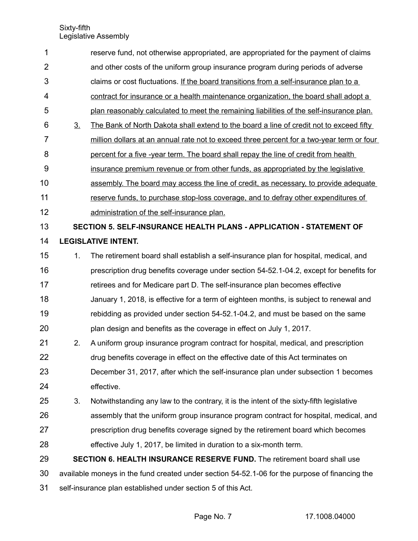| 1              |                                                                                                | reserve fund, not otherwise appropriated, are appropriated for the payment of claims      |  |
|----------------|------------------------------------------------------------------------------------------------|-------------------------------------------------------------------------------------------|--|
| $\overline{2}$ |                                                                                                | and other costs of the uniform group insurance program during periods of adverse          |  |
| 3              |                                                                                                | claims or cost fluctuations. If the board transitions from a self-insurance plan to a     |  |
| $\overline{4}$ |                                                                                                | contract for insurance or a health maintenance organization, the board shall adopt a      |  |
| 5              |                                                                                                | plan reasonably calculated to meet the remaining liabilities of the self-insurance plan.  |  |
| 6              | 3 <sub>1</sub>                                                                                 | The Bank of North Dakota shall extend to the board a line of credit not to exceed fifty   |  |
| $\overline{7}$ |                                                                                                | million dollars at an annual rate not to exceed three percent for a two-year term or four |  |
| 8              |                                                                                                | percent for a five -year term. The board shall repay the line of credit from health       |  |
| 9              |                                                                                                | insurance premium revenue or from other funds, as appropriated by the legislative         |  |
| 10             |                                                                                                | assembly. The board may access the line of credit, as necessary, to provide adequate      |  |
| 11             |                                                                                                | reserve funds, to purchase stop-loss coverage, and to defray other expenditures of        |  |
| 12             |                                                                                                | administration of the self-insurance plan.                                                |  |
| 13             |                                                                                                | SECTION 5. SELF-INSURANCE HEALTH PLANS - APPLICATION - STATEMENT OF                       |  |
| 14             |                                                                                                | <b>LEGISLATIVE INTENT.</b>                                                                |  |
| 15             | 1.                                                                                             | The retirement board shall establish a self-insurance plan for hospital, medical, and     |  |
| 16             |                                                                                                | prescription drug benefits coverage under section 54-52.1-04.2, except for benefits for   |  |
| 17             |                                                                                                | retirees and for Medicare part D. The self-insurance plan becomes effective               |  |
| 18             |                                                                                                | January 1, 2018, is effective for a term of eighteen months, is subject to renewal and    |  |
| 19             |                                                                                                | rebidding as provided under section 54-52.1-04.2, and must be based on the same           |  |
| 20             |                                                                                                | plan design and benefits as the coverage in effect on July 1, 2017.                       |  |
| 21             | 2.                                                                                             | A uniform group insurance program contract for hospital, medical, and prescription        |  |
| 22             |                                                                                                | drug benefits coverage in effect on the effective date of this Act terminates on          |  |
| 23             |                                                                                                | December 31, 2017, after which the self-insurance plan under subsection 1 becomes         |  |
| 24             |                                                                                                | effective.                                                                                |  |
| 25             | 3.                                                                                             | Notwithstanding any law to the contrary, it is the intent of the sixty-fifth legislative  |  |
| 26             |                                                                                                | assembly that the uniform group insurance program contract for hospital, medical, and     |  |
| 27             |                                                                                                | prescription drug benefits coverage signed by the retirement board which becomes          |  |
| 28             |                                                                                                | effective July 1, 2017, be limited in duration to a six-month term.                       |  |
| 29             |                                                                                                | <b>SECTION 6. HEALTH INSURANCE RESERVE FUND.</b> The retirement board shall use           |  |
| 30             | available moneys in the fund created under section 54-52.1-06 for the purpose of financing the |                                                                                           |  |
| 31             | self-insurance plan established under section 5 of this Act.                                   |                                                                                           |  |